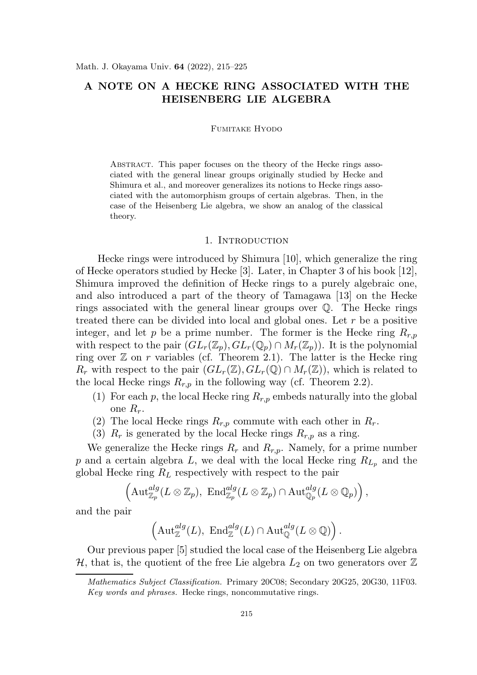# A NOTE ON A HECKE RING ASSOCIATED WITH THE HEISENBERG LIE ALGEBRA

Fumitake Hyodo

Abstract. This paper focuses on the theory of the Hecke rings associated with the general linear groups originally studied by Hecke and Shimura et al., and moreover generalizes its notions to Hecke rings associated with the automorphism groups of certain algebras. Then, in the case of the Heisenberg Lie algebra, we show an analog of the classical theory.

## 1. INTRODUCTION

Hecke rings were introduced by Shimura [10], which generalize the ring of Hecke operators studied by Hecke [3]. Later, in Chapter 3 of his book [12], Shimura improved the definition of Hecke rings to a purely algebraic one, and also introduced a part of the theory of Tamagawa [13] on the Hecke rings associated with the general linear groups over Q. The Hecke rings treated there can be divided into local and global ones. Let  $r$  be a positive integer, and let p be a prime number. The former is the Hecke ring  $R_{r,p}$ with respect to the pair  $(GL_r(\mathbb{Z}_p), GL_r(\mathbb{Q}_p) \cap M_r(\mathbb{Z}_p))$ . It is the polynomial ring over  $\mathbb Z$  on r variables (cf. Theorem 2.1). The latter is the Hecke ring  $R_r$  with respect to the pair  $(GL_r(\mathbb{Z}), GL_r(\mathbb{Q}) \cap M_r(\mathbb{Z}))$ , which is related to the local Hecke rings  $R_{r,p}$  in the following way (cf. Theorem 2.2).

- (1) For each p, the local Hecke ring  $R_{r,p}$  embeds naturally into the global one  $R_r$ .
- (2) The local Hecke rings  $R_{r,p}$  commute with each other in  $R_r$ .
- (3)  $R_r$  is generated by the local Hecke rings  $R_{r,p}$  as a ring.

We generalize the Hecke rings  $R_r$  and  $R_{r,p}$ . Namely, for a prime number p and a certain algebra L, we deal with the local Hecke ring  $R_{L_p}$  and the global Hecke ring  $R_L$  respectively with respect to the pair

$$
\left(\mathrm{Aut}_{\mathbb{Z}_p}^{alg}(L\otimes \mathbb{Z}_p), \ \mathrm{End}_{\mathbb{Z}_p}^{alg}(L\otimes \mathbb{Z}_p)\cap \mathrm{Aut}_{\mathbb{Q}_p}^{alg}(L\otimes \mathbb{Q}_p)\right),
$$

and the pair

$$
\left(\mathrm{Aut}^{alg}_{\mathbb{Z}}(L), \ \mathrm{End}^{alg}_{\mathbb{Z}}(L) \cap \mathrm{Aut}^{alg}_{\mathbb{Q}}(L \otimes \mathbb{Q})\right).
$$

Our previous paper [5] studied the local case of the Heisenberg Lie algebra  $\mathcal{H}$ , that is, the quotient of the free Lie algebra  $L_2$  on two generators over  $\mathbb Z$ 

Mathematics Subject Classification. Primary 20C08; Secondary 20G25, 20G30, 11F03. Key words and phrases. Hecke rings, noncommutative rings.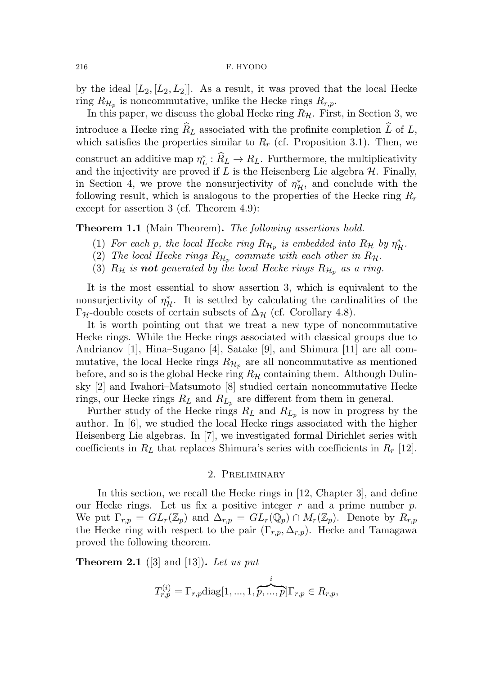#### 216 F. HYODO

by the ideal  $[L_2, [L_2, L_2]]$ . As a result, it was proved that the local Hecke ring  $R_{\mathcal{H}_p}$  is noncommutative, unlike the Hecke rings  $R_{r,p}$ .

In this paper, we discuss the global Hecke ring  $R_H$ . First, in Section 3, we introduce a Hecke ring  $R_L$  associated with the profinite completion  $\tilde{L}$  of  $L$ , which satisfies the properties similar to  $R_r$  (cf. Proposition 3.1). Then, we construct an additive map  $\eta_I^*$  $L^*$ :  $R_L \rightarrow R_L$ . Furthermore, the multiplicativity and the injectivity are proved if  $L$  is the Heisenberg Lie algebra  $H$ . Finally, in Section 4, we prove the nonsurjectivity of  $\eta_{\mathcal{H}}^*$ , and conclude with the following result, which is analogous to the properties of the Hecke ring  $R_r$ except for assertion 3 (cf. Theorem 4.9):

Theorem 1.1 (Main Theorem). The following assertions hold.

- (1) For each p, the local Hecke ring  $R_{\mathcal{H}_p}$  is embedded into  $R_{\mathcal{H}}$  by  $\eta_{\mathcal{H}}^*$ .
- (2) The local Hecke rings  $R_{\mathcal{H}_p}$  commute with each other in  $R_{\mathcal{H}}$ .
- (3)  $R_{\mathcal{H}}$  is **not** generated by the local Hecke rings  $R_{\mathcal{H}_p}$  as a ring.

It is the most essential to show assertion 3, which is equivalent to the nonsurjectivity of  $\eta^*_{\mathcal{H}}$ . It is settled by calculating the cardinalities of the  $\Gamma_{\mathcal{H}}$ -double cosets of certain subsets of  $\Delta_{\mathcal{H}}$  (cf. Corollary 4.8).

It is worth pointing out that we treat a new type of noncommutative Hecke rings. While the Hecke rings associated with classical groups due to Andrianov [1], Hina–Sugano [4], Satake [9], and Shimura [11] are all commutative, the local Hecke rings  $R_{\mathcal{H}_p}$  are all noncommutative as mentioned before, and so is the global Hecke ring  $R_H$  containing them. Although Dulinsky [2] and Iwahori–Matsumoto [8] studied certain noncommutative Hecke rings, our Hecke rings  $R_L$  and  $R_{L_p}$  are different from them in general.

Further study of the Hecke rings  $R_L$  and  $R_{L_p}$  is now in progress by the author. In [6], we studied the local Hecke rings associated with the higher Heisenberg Lie algebras. In [7], we investigated formal Dirichlet series with coefficients in  $R_L$  that replaces Shimura's series with coefficients in  $R_r$  [12].

#### 2. Preliminary

In this section, we recall the Hecke rings in [12, Chapter 3], and define our Hecke rings. Let us fix a positive integer  $r$  and a prime number  $p$ . We put  $\Gamma_{r,p} = GL_r(\mathbb{Z}_p)$  and  $\Delta_{r,p} = GL_r(\mathbb{Q}_p) \cap M_r(\mathbb{Z}_p)$ . Denote by  $R_{r,p}$ the Hecke ring with respect to the pair  $(\Gamma_{r,p}, \Delta_{r,p})$ . Hecke and Tamagawa proved the following theorem.

**Theorem 2.1** ([3] and [13]). Let us put

$$
T_{r,p}^{(i)} = \Gamma_{r,p} \text{diag}[1,...,1,\overbrace{p,...,p}^{i}]\Gamma_{r,p} \in R_{r,p},
$$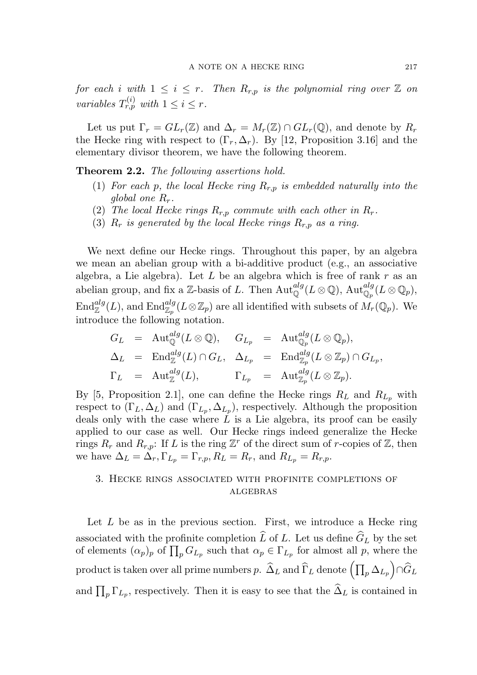for each i with  $1 \leq i \leq r$ . Then  $R_{r,p}$  is the polynomial ring over  $\mathbb Z$  on variables  $T_{r,p}^{(i)}$  with  $1 \leq i \leq r$ .

Let us put  $\Gamma_r = GL_r(\mathbb{Z})$  and  $\Delta_r = M_r(\mathbb{Z}) \cap GL_r(\mathbb{Q})$ , and denote by  $R_r$ the Hecke ring with respect to  $(\Gamma_r, \Delta_r)$ . By [12, Proposition 3.16] and the elementary divisor theorem, we have the following theorem.

Theorem 2.2. The following assertions hold.

- (1) For each p, the local Hecke ring  $R_{r,p}$  is embedded naturally into the global one  $R_r$ .
- (2) The local Hecke rings  $R_{r,p}$  commute with each other in  $R_r$ .
- (3)  $R_r$  is generated by the local Hecke rings  $R_{r,p}$  as a ring.

We next define our Hecke rings. Throughout this paper, by an algebra we mean an abelian group with a bi-additive product (e.g., an associative algebra, a Lie algebra). Let  $L$  be an algebra which is free of rank  $r$  as an abelian group, and fix a Z-basis of L. Then  $\mathrm{Aut}^{alg}_{\mathbb{Q}}(L \otimes \mathbb{Q})$ ,  $\mathrm{Aut}^{alg}_{\mathbb{Q}_p}(L \otimes \mathbb{Q}_p)$ ,  $\mathrm{End}^{alg}_{\mathbb{Z}}(L)$ , and  $\mathrm{End}^{alg}_{\mathbb{Z}_p}(L \otimes \mathbb{Z}_p)$  are all identified with subsets of  $M_r(\mathbb{Q}_p)$ . We introduce the following notation.

$$
G_L = \text{Aut}_{\mathbb{Q}}^{alg}(L \otimes \mathbb{Q}), \quad G_{L_p} = \text{Aut}_{\mathbb{Q}_p}^{alg}(L \otimes \mathbb{Q}_p),
$$
  
\n
$$
\Delta_L = \text{End}_{\mathbb{Z}}^{alg}(L) \cap G_L, \quad \Delta_{L_p} = \text{End}_{\mathbb{Z}_p}^{alg}(L \otimes \mathbb{Z}_p) \cap G_{L_p},
$$
  
\n
$$
\Gamma_L = \text{Aut}_{\mathbb{Z}}^{alg}(L), \qquad \Gamma_{L_p} = \text{Aut}_{\mathbb{Z}_p}^{alg}(L \otimes \mathbb{Z}_p).
$$

By [5, Proposition 2.1], one can define the Hecke rings  $R_L$  and  $R_{L_p}$  with respect to  $(\Gamma_L, \Delta_L)$  and  $(\Gamma_{L_p}, \Delta_{L_p})$ , respectively. Although the proposition deals only with the case where  $L$  is a Lie algebra, its proof can be easily applied to our case as well. Our Hecke rings indeed generalize the Hecke rings  $R_r$  and  $R_{r,p}$ : If L is the ring  $\mathbb{Z}^r$  of the direct sum of r-copies of  $\mathbb{Z}$ , then we have  $\Delta_L = \Delta_r$ ,  $\Gamma_{L_p} = \Gamma_{r,p}$ ,  $R_L = R_r$ , and  $R_{L_p} = R_{r,p}$ .

# 3. Hecke rings associated with profinite completions of algebras

Let  $L$  be as in the previous section. First, we introduce a Hecke ring associated with the profinite completion  $\widehat{L}$  of L. Let us define  $\widehat{G}_L$  by the set of elements  $(\alpha_p)_p$  of  $\prod_p G_{L_p}$  such that  $\alpha_p \in \Gamma_{L_p}$  for almost all p, where the product is taken over all prime numbers  $p.$   $\widehat{\Delta}_L$  and  $\widehat{\Gamma}_L$  denote  $\left(\prod_p \Delta_{L_p}\right)\cap \widehat{G}_L$ and  $\prod_p \Gamma_{L_p}$ , respectively. Then it is easy to see that the  $\widehat{\Delta}_L$  is contained in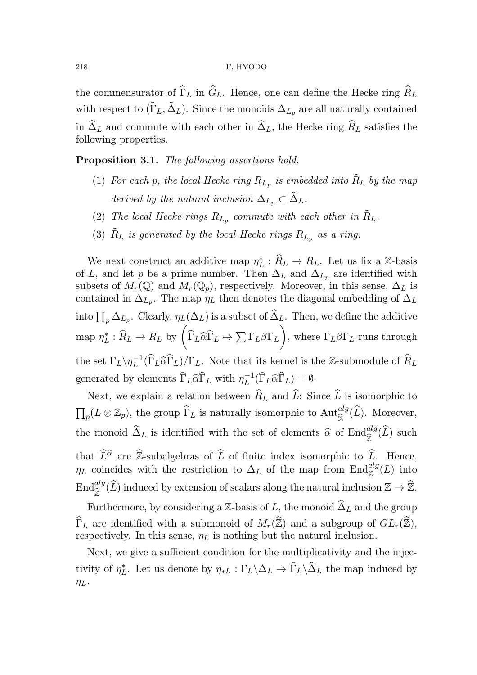the commensurator of  $\widehat{\Gamma}_L$  in  $\widehat{G}_L$ . Hence, one can define the Hecke ring  $\widehat{R}_L$ with respect to  $(\widehat{\Gamma}_L, \widehat{\Delta}_L)$ . Since the monoids  $\Delta_{L_p}$  are all naturally contained in  $\widehat{\Delta}_L$  and commute with each other in  $\widehat{\Delta}_L$ , the Hecke ring  $\widehat{R}_L$  satisfies the following properties.

Proposition 3.1. The following assertions hold.

- (1) For each p, the local Hecke ring  $R_{L_p}$  is embedded into  $R_L$  by the map derived by the natural inclusion  $\Delta_{L_p} \subset \widehat{\Delta}_L$ .
- (2) The local Hecke rings  $R_{L_p}$  commute with each other in  $R_L$ .
- (3)  $\widehat{R}_L$  is generated by the local Hecke rings  $R_{L_p}$  as a ring.

We next construct an additive map  $\eta_I^*$  $L^*$ :  $R_L \rightarrow R_L$ . Let us fix a Z-basis of L, and let p be a prime number. Then  $\Delta_L$  and  $\Delta_{L_p}$  are identified with subsets of  $M_r(\mathbb{Q})$  and  $M_r(\mathbb{Q}_p)$ , respectively. Moreover, in this sense,  $\Delta_L$  is contained in  $\Delta_{L_p}$ . The map  $\eta_L$  then denotes the diagonal embedding of  $\Delta_L$ into  $\prod_p \Delta_{L_p}$ . Clearly,  $\eta_L(\Delta_L)$  is a subset of  $\widehat{\Delta}_L$ . Then, we define the additive map  $\eta_I^*$  $L^* : \hat{R}_L \to R_L$  by  $\left( \widehat{\Gamma}_L \widehat{\alpha} \widehat{\Gamma}_L \mapsto \sum \Gamma_L \beta \Gamma_L \right)$  $\overline{ }$ , where  $\Gamma_L \beta \Gamma_L$  runs through the set  $\Gamma_L \backslash \eta_L^{-1}$  $L^{-1}(\Gamma_L \widehat{\alpha} \Gamma_L)/\Gamma_L$ . Note that its kernel is the Z-submodule of  $R_L$ generated by elements  $\widehat{\Gamma}_L \widehat{\alpha} \widehat{\Gamma}_L$  with  $\eta_L^{-1}$  $L^{-1}(\Gamma_L \widehat{\alpha} \Gamma_L) = \emptyset.$ 

Next, we explain a relation between  $\widehat{R}_L$  and  $\widehat{L}$ : Since  $\widehat{L}$  is isomorphic to  $\prod_p(L \otimes \mathbb{Z}_p)$ , the group  $\widehat{\Gamma}_L$  is naturally isomorphic to  $\text{Aut}_{\widehat{\mathbb{Z}}}^{alg}(\widehat{L})$ . Moreover, the monoid  $\hat{\Delta}_L$  is identified with the set of elements  $\hat{\alpha}$  of  $\text{End}_{\hat{\mathbb{Z}}}^{alg}(\widehat{L})$  such that  $\widehat{L}^{\widehat{\alpha}}$  are  $\widehat{\mathbb{Z}}$ -subalgebras of  $\widehat{L}$  of finite index isomorphic to  $\widehat{L}$ . Hence,  $\eta_L$  coincides with the restriction to  $\Delta_L$  of the map from  $\text{End}_{\mathbb{Z}}^{alg}(L)$  into  $\text{End}_{\widehat{\mathbb{Z}}}^{alg}(\widehat{L})$  induced by extension of scalars along the natural inclusion  $\mathbb{Z} \to \widehat{\mathbb{Z}}$ .

Furthermore, by considering a Z-basis of L, the monoid  $\hat{\Delta}_L$  and the group  $\widehat{\Gamma}_L$  are identified with a submonoid of  $M_r(\widehat{\mathbb{Z}})$  and a subgroup of  $GL_r(\widehat{\mathbb{Z}})$ , respectively. In this sense,  $\eta_L$  is nothing but the natural inclusion.

Next, we give a sufficient condition for the multiplicativity and the injectivity of  $\eta_I^*$  $L^*$ . Let us denote by  $\eta_{*L} : \Gamma_L \backslash \Delta_L \to \Gamma_L \backslash \Delta_L$  the map induced by  $\eta_L$ .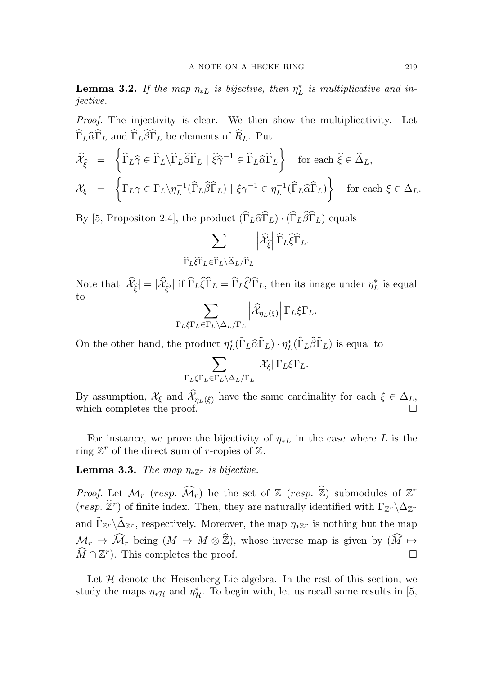**Lemma 3.2.** If the map  $\eta_{*L}$  is bijective, then  $\eta_L^*$  $_L^*$  is multiplicative and injective.

Proof. The injectivity is clear. We then show the multiplicativity. Let  $\widehat{\Gamma}_L\widehat{\alpha}\widehat{\Gamma}_L$  and  $\widehat{\Gamma}_L\widehat{\beta}\widehat{\Gamma}_L$  be elements of  $\widehat{R}_L.$  Put

$$
\widehat{\mathcal{X}}_{\widehat{\xi}} = \left\{ \widehat{\Gamma}_L \widehat{\gamma} \in \widehat{\Gamma}_L \backslash \widehat{\Gamma}_L \widehat{\beta} \widehat{\Gamma}_L \mid \widehat{\xi} \widehat{\gamma}^{-1} \in \widehat{\Gamma}_L \widehat{\alpha} \widehat{\Gamma}_L \right\} \text{ for each } \widehat{\xi} \in \widehat{\Delta}_L,
$$
\n
$$
\mathcal{X}_{\xi} = \left\{ \Gamma_L \gamma \in \Gamma_L \backslash \eta_L^{-1} (\widehat{\Gamma}_L \widehat{\beta} \widehat{\Gamma}_L) \mid \xi \gamma^{-1} \in \eta_L^{-1} (\widehat{\Gamma}_L \widehat{\alpha} \widehat{\Gamma}_L) \right\} \text{ for each } \xi \in \Delta_L.
$$

By [5, Propositon 2.4], the product  $(\widehat{\Gamma}_L \widehat{\alpha} \widehat{\Gamma}_L) \cdot (\widehat{\Gamma}_L \widehat{\beta} \widehat{\Gamma}_L)$  equals

$$
\sum_{\widehat{\Gamma}_L\widehat{\xi}\widehat{\Gamma}_L\in \widehat{\Gamma}_L\backslash\widehat{\Delta}_L/\widehat{\Gamma}_L}\left|\widehat{\mathcal{X}}_{\widehat{\xi}}\right|\widehat{\Gamma}_L\widehat{\xi}\widehat{\Gamma}_L.
$$

Note that  $|\hat{\mathcal{X}}_{\hat{\xi}}| = |\hat{\mathcal{X}}_{\hat{\xi'}}|$  if  $\widehat{\Gamma}_L \widehat{\xi} \widehat{\Gamma}_L = \widehat{\Gamma}_L \widehat{\xi'} \widehat{\Gamma}_L$ , then its image under  $\eta_L^*$  $_L^*$  is equal to

$$
\sum_{\Gamma_L \xi \Gamma_L \in \Gamma_L \backslash \Delta_L / \Gamma_L} \left| \widehat{\mathcal{X}}_{\eta_L(\xi)} \right| \Gamma_L \xi \Gamma_L.
$$

On the other hand, the product  $\eta_I^*$  ${}_{L}^{*}(\widehat{\Gamma}_{L}\widehat{\alpha}\widehat{\Gamma}_{L})\cdot\eta_{L}^{*}$  $L^*(\Gamma_L \beta \Gamma_L)$  is equal to

$$
\sum_{\Gamma_L\xi\Gamma_L\in\Gamma_L\backslash\Delta_L/\Gamma_L}|\mathcal{X}_\xi|\,\Gamma_L\xi\Gamma_L.
$$

By assumption,  $\mathcal{X}_{\xi}$  and  $\mathcal{X}_{\eta_L(\xi)}$  have the same cardinality for each  $\xi \in \Delta_L$ , which completes the proof.

For instance, we prove the bijectivity of  $\eta_{*L}$  in the case where L is the ring  $\mathbb{Z}^r$  of the direct sum of *r*-copies of  $\mathbb{Z}$ .

Lemma 3.3. The map  $\eta_{*Z^r}$  is bijective.

*Proof.* Let  $\mathcal{M}_r$  (resp.  $\widehat{\mathcal{M}}_r$ ) be the set of  $\mathbb{Z}$  (resp.  $\widehat{\mathbb{Z}}$ ) submodules of  $\mathbb{Z}^r$  $(resp. \ \hat{\mathbb{Z}}^r)$  of finite index. Then, they are naturally identified with  $\Gamma_{\mathbb{Z}^r} \backslash \Delta_{\mathbb{Z}^r}$ and  $\widehat{\Gamma}_{\mathbb{Z}^r} \backslash \widehat{\Delta}_{\mathbb{Z}^r}$ , respectively. Moreover, the map  $\eta_{*}\mathbb{Z}^r$  is nothing but the map  $\mathcal{M}_r \to \widehat{\mathcal{M}}_r$  being  $(M \mapsto M \otimes \widehat{\mathbb{Z}})$ , whose inverse map is given by  $(\widehat{M} \mapsto$  $\widehat{M} \cap \mathbb{Z}^r$ ). This completes the proof.

Let  $H$  denote the Heisenberg Lie algebra. In the rest of this section, we study the maps  $\eta_*\mathcal{H}$  and  $\eta^*_{\mathcal{H}}$ . To begin with, let us recall some results in [5,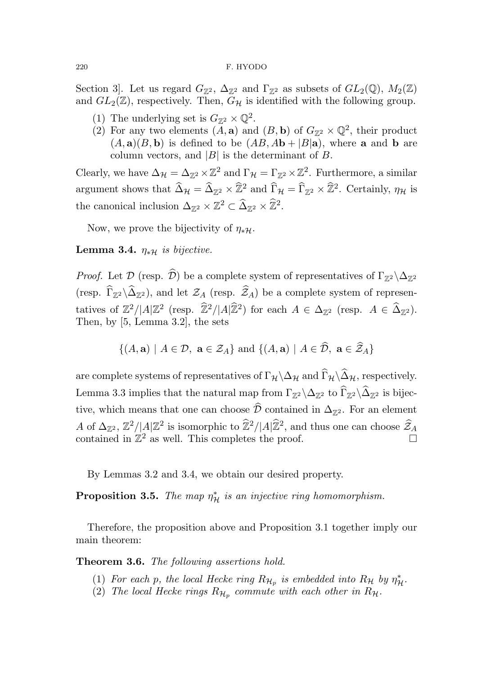#### 220 F. HYODO

Section 3]. Let us regard  $G_{\mathbb{Z}^2}$ ,  $\Delta_{\mathbb{Z}^2}$  and  $\Gamma_{\mathbb{Z}^2}$  as subsets of  $GL_2(\mathbb{Q})$ ,  $M_2(\mathbb{Z})$ and  $GL_2(\mathbb{Z})$ , respectively. Then,  $G_{\mathcal{H}}$  is identified with the following group.

- (1) The underlying set is  $G_{\mathbb{Z}^2} \times \mathbb{Q}^2$ .
- (2) For any two elements  $(A, \mathbf{a})$  and  $(B, \mathbf{b})$  of  $G_{\mathbb{Z}^2} \times \mathbb{Q}^2$ , their product  $(A, \mathbf{a})(B, \mathbf{b})$  is defined to be  $(AB, Ab + |B|\mathbf{a})$ , where **a** and **b** are column vectors, and  $|B|$  is the determinant of B.

Clearly, we have  $\Delta_{\mathcal{H}} = \Delta_{\mathbb{Z}^2} \times \mathbb{Z}^2$  and  $\Gamma_{\mathcal{H}} = \Gamma_{\mathbb{Z}^2} \times \mathbb{Z}^2$ . Furthermore, a similar argument shows that  $\widehat{\Delta}_{\mathcal{H}} = \widehat{\Delta}_{\mathbb{Z}^2} \times \widehat{\mathbb{Z}}^2$  and  $\widehat{\Gamma}_{\mathcal{H}} = \widehat{\Gamma}_{\mathbb{Z}^2} \times \widehat{\mathbb{Z}}^2$ . Certainly,  $\eta_{\mathcal{H}}$  is the canonical inclusion  $\Delta_{\mathbb{Z}^2} \times \mathbb{Z}^2 \subset \widehat{\Delta}_{\mathbb{Z}^2} \times \widehat{\mathbb{Z}}^2$ .

Now, we prove the bijectivity of  $\eta_{*}\mathcal{H}$ .

## Lemma 3.4.  $\eta_{*H}$  is bijective.

*Proof.* Let  $\mathcal{D}$  (resp.  $\widehat{\mathcal{D}}$ ) be a complete system of representatives of  $\Gamma_{\mathbb{Z}^2} \setminus \Delta_{\mathbb{Z}^2}$ (resp.  $\Gamma_{\mathbb{Z}^2} \backslash \Delta_{\mathbb{Z}^2}$ ), and let  $\mathcal{Z}_A$  (resp.  $\mathcal{Z}_A$ ) be a complete system of representatives of  $\mathbb{Z}^2/|A|\mathbb{Z}^2$  (resp.  $\widehat{\mathbb{Z}}^2/|A|\widehat{\mathbb{Z}}^2$ ) for each  $A \in \Delta_{\mathbb{Z}^2}$  (resp.  $A \in \widehat{\Delta}_{\mathbb{Z}^2}$ ). Then, by [5, Lemma 3.2], the sets

$$
\{(A, \mathbf{a}) \mid A \in \mathcal{D}, \ \mathbf{a} \in \mathcal{Z}_A\} \text{ and } \{(A, \mathbf{a}) \mid A \in \mathcal{D}, \ \mathbf{a} \in \mathcal{Z}_A\}
$$

are complete systems of representatives of  $\Gamma_\mathcal{H}\backslash\Delta_\mathcal{H}$  and  $\widehat\Gamma_\mathcal{H}\backslash\widehat\Delta_\mathcal{H}$ , respectively. Lemma 3.3 implies that the natural map from  $\Gamma_{\mathbb{Z}^2} \backslash \Delta_{\mathbb{Z}^2}$  to  $\Gamma_{\mathbb{Z}^2} \backslash \Delta_{\mathbb{Z}^2}$  is bijective, which means that one can choose  $\widehat{\mathcal{D}}$  contained in  $\Delta_{\mathbb{Z}^2}$ . For an element A of  $\Delta_{\mathbb{Z}^2}$ ,  $\mathbb{Z}^2/|A|\mathbb{Z}^2$  is isomorphic to  $\mathbb{Z}^2/|A|\mathbb{Z}^2$ , and thus one can choose  $\widehat{Z}_A$ contained in  $\mathbb{Z}^2$  as well. This completes the proof.

By Lemmas 3.2 and 3.4, we obtain our desired property.

**Proposition 3.5.** The map  $\eta^*_{\mathcal{H}}$  is an injective ring homomorphism.

Therefore, the proposition above and Proposition 3.1 together imply our main theorem:

Theorem 3.6. The following assertions hold.

- (1) For each p, the local Hecke ring  $R_{\mathcal{H}_p}$  is embedded into  $R_{\mathcal{H}}$  by  $\eta_{\mathcal{H}}^*$ .
- (2) The local Hecke rings  $R_{\mathcal{H}_p}$  commute with each other in  $R_{\mathcal{H}}$ .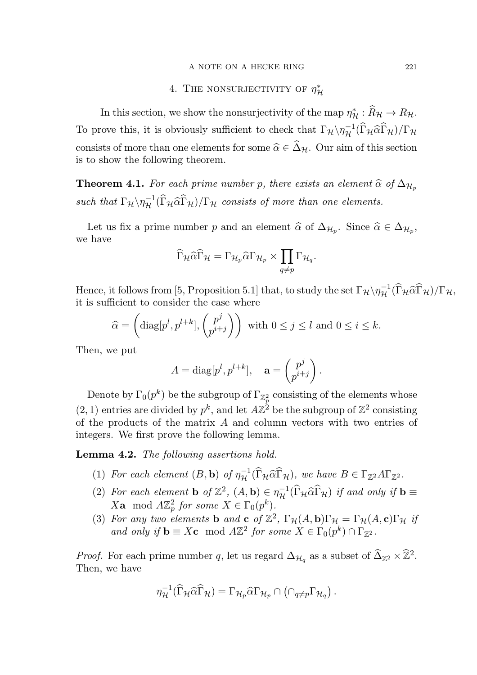### A NOTE ON A HECKE RING 221

#### 4. THE NONSURJECTIVITY OF  $\eta^*_1$  ${\mathcal H}$

In this section, we show the nonsurjectivity of the map  $\eta^*_{\mathcal{H}} : \hat{R}_{\mathcal{H}} \to R_{\mathcal{H}}$ . To prove this, it is obviously sufficient to check that  $\Gamma_H \setminus \eta_{\mathcal{H}}^{-1}(\widehat{\Gamma}_{\mathcal{H}} \widehat{\alpha} \widehat{\Gamma}_{\mathcal{H}})/\Gamma_{\mathcal{H}}$ consists of more than one elements for some  $\hat{\alpha} \in \hat{\Delta}_{\mathcal{H}}$ . Our aim of this section is to show the following theorem.

**Theorem 4.1.** For each prime number p, there exists an element  $\hat{\alpha}$  of  $\Delta_{\mathcal{H}_p}$ such that  $\Gamma_{\mathcal{H}} \setminus \eta_{\mathcal{H}}^{-1}(\widehat{\Gamma}_{\mathcal{H}} \widehat{\alpha} \widehat{\Gamma}_{\mathcal{H}})/\Gamma_{\mathcal{H}}$  consists of more than one elements.

Let us fix a prime number p and an element  $\widehat{\alpha}$  of  $\Delta_{\mathcal{H}_p}$ . Since  $\widehat{\alpha} \in \Delta_{\mathcal{H}_p}$ , we have

$$
\widehat{\Gamma}_{\mathcal{H}}\widehat{\alpha}\widehat{\Gamma}_{\mathcal{H}}=\Gamma_{\mathcal{H}_p}\widehat{\alpha}\Gamma_{\mathcal{H}_p}\times\prod_{q\neq p}\Gamma_{\mathcal{H}_q}.
$$

Hence, it follows from [5, Proposition 5.1] that, to study the set  $\Gamma_{\mathcal{H}} \setminus \eta_{\mathcal{H}}^{-1}(\widehat{\Gamma}_{\mathcal{H}} \widehat{\alpha} \widehat{\Gamma}_{\mathcal{H}})/\Gamma_{\mathcal{H}}$ , it is sufficient to consider the case where

$$
\widehat{\alpha} = \left(\text{diag}[p^l, p^{l+k}], \begin{pmatrix} p^j \\ p^{i+j} \end{pmatrix} \right) \text{ with } 0 \le j \le l \text{ and } 0 \le i \le k.
$$

Then, we put

$$
A = \text{diag}[p^l, p^{l+k}], \quad \mathbf{a} = \begin{pmatrix} p^j \\ p^{i+j} \end{pmatrix}.
$$

Denote by  $\Gamma_0(p^k)$  be the subgroup of  $\Gamma_{\mathbb{Z}_p^2}$  consisting of the elements whose  $(2, 1)$  entries are divided by  $p^k$ , and let  $A\mathbb{Z}^2$  be the subgroup of  $\mathbb{Z}^2$  consisting of the products of the matrix A and column vectors with two entries of integers. We first prove the following lemma.

Lemma 4.2. The following assertions hold.

- (1) For each element  $(B, \mathbf{b})$  of  $\eta_{\mathcal{H}}^{-1}(\widehat{\Gamma}_{\mathcal{H}} \widehat{\alpha} \widehat{\Gamma}_{\mathcal{H}})$ , we have  $B \in \Gamma_{\mathbb{Z}^2} A \Gamma_{\mathbb{Z}^2}$ .
- (2) For each element **b** of  $\mathbb{Z}^2$ ,  $(A, \mathbf{b}) \in \eta_{\mathcal{H}}^{-1}(\widehat{\Gamma}_{\mathcal{H}} \widehat{\alpha} \widehat{\Gamma}_{\mathcal{H}})$  if and only if  $\mathbf{b} \equiv$  $X$ **a** mod  $A\mathbb{Z}_p^2$  for some  $X \in \Gamma_0(p^k)$ .
- (3) For any two elements **b** and **c** of  $\mathbb{Z}^2$ ,  $\Gamma_{\mathcal{H}}(A, \mathbf{b})\Gamma_{\mathcal{H}} = \Gamma_{\mathcal{H}}(A, \mathbf{c})\Gamma_{\mathcal{H}}$  if and only if  $\mathbf{b} \equiv X\mathbf{c} \mod A\mathbb{Z}^2$  for some  $X \in \Gamma_0(p^k) \cap \Gamma_{\mathbb{Z}^2}$ .

*Proof.* For each prime number q, let us regard  $\Delta_{\mathcal{H}_q}$  as a subset of  $\widehat{\Delta}_{\mathbb{Z}^2} \times \widehat{\mathbb{Z}}^2$ . Then, we have

$$
\eta_{\mathcal{H}}^{-1}(\widehat{\Gamma}_{\mathcal{H}}\widehat{\alpha}\widehat{\Gamma}_{\mathcal{H}})=\Gamma_{\mathcal{H}_p}\widehat{\alpha}\Gamma_{\mathcal{H}_p}\cap\left(\cap_{q\neq p}\Gamma_{\mathcal{H}_q}\right).
$$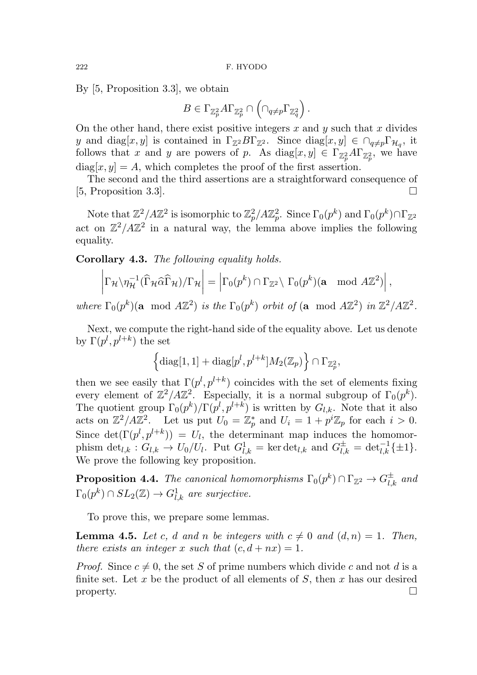By [5, Proposition 3.3], we obtain

$$
B\in \Gamma_{\mathbb{Z}_p^2}A\Gamma_{\mathbb{Z}_p^2}\cap \left(\cap_{q\neq p}\Gamma_{\mathbb{Z}_q^2}\right).
$$

On the other hand, there exist positive integers  $x$  and  $y$  such that  $x$  divides y and diag[x, y] is contained in  $\Gamma_{\mathbb{Z}^2} B \Gamma_{\mathbb{Z}^2}$ . Since  $\text{diag}[x, y] \in \cap_{q \neq p} \Gamma_{\mathcal{H}_q}$ , it follows that x and y are powers of p. As  $\text{diag}[x, y] \in \Gamma_{\mathbb{Z}_p^2} A \Gamma_{\mathbb{Z}_p^2}$ , we have  $diag[x, y] = A$ , which completes the proof of the first assertion.

The second and the third assertions are a straightforward consequence of  $[5,$  Proposition 3.3].

Note that  $\mathbb{Z}^2/ A \mathbb{Z}^2$  is isomorphic to  $\mathbb{Z}_p^2/ A \mathbb{Z}_p^2$ . Since  $\Gamma_0(p^k)$  and  $\Gamma_0(p^k) \cap \Gamma_{\mathbb{Z}^2}$ act on  $\mathbb{Z}^2/4\mathbb{Z}^2$  in a natural way, the lemma above implies the following equality.

Corollary 4.3. The following equality holds.

$$
\left|\Gamma_\mathcal{H}\backslash\eta_\mathcal{H}^{-1}(\widehat{\Gamma}_\mathcal{H}\widehat{\alpha}\widehat{\Gamma}_\mathcal{H})/\Gamma_\mathcal{H}\right|=\left|\Gamma_0(p^k)\cap\Gamma_{\mathbb{Z}^2}\backslash\ \Gamma_0(p^k)(\textbf{a} \mod A\mathbb{Z}^2)\right|,
$$

where  $\Gamma_0(p^k)(\mathbf{a} \mod A\mathbb{Z}^2)$  is the  $\Gamma_0(p^k)$  orbit of  $(\mathbf{a} \mod A\mathbb{Z}^2)$  in  $\mathbb{Z}^2/A\mathbb{Z}^2$ .

Next, we compute the right-hand side of the equality above. Let us denote by  $\Gamma(p^l, p^{l+k})$  the set

$$
\left\{{\rm diag}[1,1]+{\rm diag}[p^l,p^{l+k}]M_2(\mathbb{Z}_p)\right\}\cap\Gamma_{\mathbb{Z}_p^2},
$$

then we see easily that  $\Gamma(p^l, p^{l+k})$  coincides with the set of elements fixing every element of  $\mathbb{Z}^2/A\mathbb{Z}^2$ . Especially, it is a normal subgroup of  $\Gamma_0(p^k)$ . The quotient group  $\Gamma_0(p^k)/\Gamma(p^l,p^{l+k})$  is written by  $G_{l,k}$ . Note that it also acts on  $\mathbb{Z}^2/A\mathbb{Z}^2$ . Let us put  $U_0 = \mathbb{Z}_p^*$  and  $U_i = 1 + p^i \mathbb{Z}_p$  for each  $i > 0$ . Since  $\det(\Gamma(p^l, p^{l+k})) = U_l$ , the determinant map induces the homomorphism  $\det_{l,k}: G_{l,k} \to U_0/U_l$ . Put  $G_{l,k}^1 = \ker \det_{l,k}$  and  $G_{l,k}^{\pm} = \det_{l,k}^{-1} {\{\pm 1\}}$ . We prove the following key proposition.

**Proposition 4.4.** The canonical homomorphisms  $\Gamma_0(p^k) \cap \Gamma_{\mathbb{Z}^2} \to G_{l,k}^{\pm}$  and  $\Gamma_0(p^k) \cap SL_2(\mathbb{Z}) \rightarrow G^1_{l,k}$  are surjective.

To prove this, we prepare some lemmas.

**Lemma 4.5.** Let c, d and n be integers with  $c \neq 0$  and  $(d, n) = 1$ . Then, there exists an integer x such that  $(c, d + nx) = 1$ .

*Proof.* Since  $c \neq 0$ , the set S of prime numbers which divide c and not d is a finite set. Let x be the product of all elements of  $S$ , then x has our desired property.  $\Box$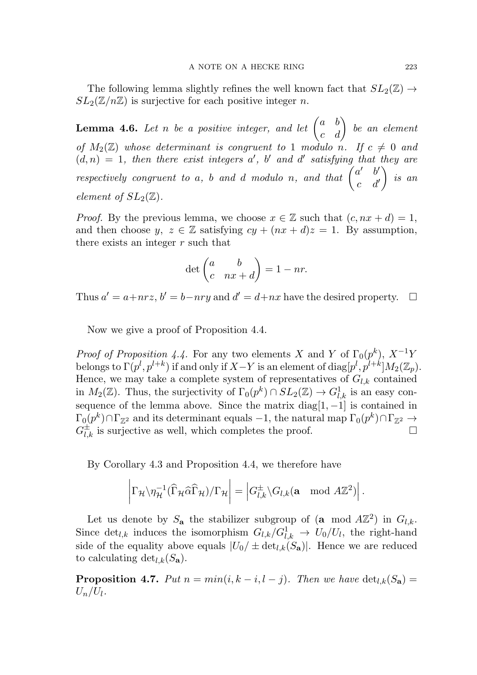The following lemma slightly refines the well known fact that  $SL_2(\mathbb{Z}) \rightarrow$  $SL_2(\mathbb{Z}/n\mathbb{Z})$  is surjective for each positive integer n.

**Lemma 4.6.** Let n be a positive integer, and let  $\begin{pmatrix} a & b \\ c & d \end{pmatrix}$  be an element of  $M_2(\mathbb{Z})$  whose determinant is congruent to 1 modulo n. If  $c \neq 0$  and  $(d, n) = 1$ , then there exist integers a', b' and d' satisfying that they are respectively congruent to a, b and d modulo n, and that  $\begin{pmatrix} a' & b' \\ a & d \end{pmatrix}$  $c$  d'  $\overline{ }$ is an element of  $SL_2(\mathbb{Z})$ .

*Proof.* By the previous lemma, we choose  $x \in \mathbb{Z}$  such that  $(c, nx + d) = 1$ , and then choose y,  $z \in \mathbb{Z}$  satisfying  $cy + (nx + d)z = 1$ . By assumption, there exists an integer  $r$  such that

$$
\det\begin{pmatrix} a & b \\ c & nx + d \end{pmatrix} = 1 - nr.
$$

Thus  $a' = a + nrz$ ,  $b' = b - nry$  and  $d' = d + nx$  have the desired property.  $\Box$ 

Now we give a proof of Proposition 4.4.

*Proof of Proposition 4.4.* For any two elements X and Y of  $\Gamma_0(p^k)$ ,  $X^{-1}Y$ belongs to  $\Gamma(p^l, p^{l+k})$  if and only if  $X-Y$  is an element of  $\text{diag}[p^l, p^{l+k}]M_2(\mathbb{Z}_p).$ Hence, we may take a complete system of representatives of  $G_{l,k}$  contained in  $M_2(\mathbb{Z})$ . Thus, the surjectivity of  $\Gamma_0(p^k) \cap SL_2(\mathbb{Z}) \to G^1_{l,k}$  is an easy consequence of the lemma above. Since the matrix diag $[1, -1]$  is contained in  $\Gamma_0(p^k) \cap \Gamma_{\mathbb{Z}^2} \text{ and its determinant equals } -1, \text{ the natural map } \Gamma_0(p^k) \cap \Gamma_{\mathbb{Z}^2} \to$  $G_{l,k}^{\pm}$  is surjective as well, which completes the proof.

By Corollary 4.3 and Proposition 4.4, we therefore have

$$
\left|\Gamma_\mathcal{H}\backslash\eta_\mathcal{H}^{-1}(\widehat{\Gamma}_\mathcal{H}\widehat{\alpha}\widehat{\Gamma}_\mathcal{H})/\Gamma_\mathcal{H}\right|=\left|G_{l,k}^\pm\backslash G_{l,k}(\mathbf{a} \mod A\mathbb{Z}^2)\right|.
$$

Let us denote by  $S_{\mathbf{a}}$  the stabilizer subgroup of  $(\mathbf{a} \mod A\mathbb{Z}^2)$  in  $G_{l,k}$ . Since  $\det_{l,k}$  induces the isomorphism  $G_{l,k}/G_{l,k}^1 \to U_0/U_l$ , the right-hand side of the equality above equals  $|U_0/\pm \det_{l,k}(S_{\bf a})|$ . Hence we are reduced to calculating  $\det_{l,k}(S_{\mathbf{a}}).$ 

**Proposition 4.7.** Put  $n = min(i, k - i, l - j)$ . Then we have  $\det_{l,k}(S_{\mathbf{a}})$  $U_n/U_l$  .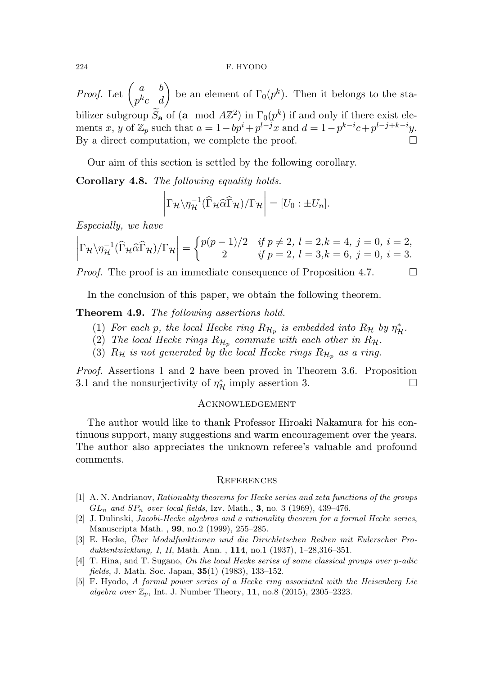#### 224 F. HYODO

*Proof.* Let  $\begin{pmatrix} a & b \\ -k & d \end{pmatrix}$  $\begin{pmatrix} a & b \\ p^k c & d \end{pmatrix}$  be an element of  $\Gamma_0(p^k)$ . Then it belongs to the stabilizer subgroup  $\tilde{S}_a$  of (a mod  $A\mathbb{Z}^2$ ) in  $\Gamma_0(p^k)$  if and only if there exist elements x, y of  $\mathbb{Z}_p$  such that  $a = 1 - bp^i + p^{l-j}x$  and  $d = 1 - p^{k-i}c + p^{l-j+k-i}y$ . By a direct computation, we complete the proof.  $\Box$ 

Our aim of this section is settled by the following corollary.

Corollary 4.8. The following equality holds.

$$
\left|\Gamma_{\mathcal{H}}\backslash\eta_{\mathcal{H}}^{-1}(\widehat{\Gamma}_{\mathcal{H}}\widehat{\alpha}\widehat{\Gamma}_{\mathcal{H}})/\Gamma_{\mathcal{H}}\right|=[U_0:\pm U_n].
$$

Especially, we have

$$
\left|\Gamma_{\mathcal{H}}\backslash\eta_{\mathcal{H}}^{-1}(\widehat{\Gamma}_{\mathcal{H}}\widehat{\alpha}\widehat{\Gamma}_{\mathcal{H}})/\Gamma_{\mathcal{H}}\right| = \begin{cases} p(p-1)/2 & \text{if } p \neq 2, l = 2, k = 4, j = 0, i = 2, \\ 2 & \text{if } p = 2, l = 3, k = 6, j = 0, i = 3. \end{cases}
$$

*Proof.* The proof is an immediate consequence of Proposition 4.7.  $\Box$ 

In the conclusion of this paper, we obtain the following theorem.

Theorem 4.9. The following assertions hold.

- (1) For each p, the local Hecke ring  $R_{\mathcal{H}_p}$  is embedded into  $R_{\mathcal{H}}$  by  $\eta_{\mathcal{H}}^*$ .
- (2) The local Hecke rings  $R_{\mathcal{H}_p}$  commute with each other in  $R_{\mathcal{H}}$ .
- (3)  $R_{\mathcal{H}}$  is not generated by the local Hecke rings  $R_{\mathcal{H}_p}$  as a ring.

Proof. Assertions 1 and 2 have been proved in Theorem 3.6. Proposition 3.1 and the nonsurjectivity of  $\eta^*_{\mathcal{H}}$  imply assertion 3.

## **ACKNOWLEDGEMENT**

The author would like to thank Professor Hiroaki Nakamura for his continuous support, many suggestions and warm encouragement over the years. The author also appreciates the unknown referee's valuable and profound comments.

## **REFERENCES**

- [1] A. N. Andrianov, Rationality theorems for Hecke series and zeta functions of the groups  $GL_n$  and  $SP_n$  over local fields, Izv. Math., 3, no. 3 (1969), 439–476.
- [2] J. Dulinski, Jacobi-Hecke algebras and a rationality theorem for a formal Hecke series, Manuscripta Math. , 99, no.2 (1999), 255–285.
- [3] E. Hecke, *Über Modulfunktionen und die Dirichletschen Reihen mit Eulerscher Pro*duktentwicklung, I, II, Math. Ann. , 114, no.1 (1937), 1–28,316–351.
- [4] T. Hina, and T. Sugano, On the local Hecke series of some classical groups over p-adic fields, J. Math. Soc. Japan, 35(1) (1983), 133–152.
- [5] F. Hyodo, A formal power series of a Hecke ring associated with the Heisenberg Lie algebra over  $\mathbb{Z}_p$ , Int. J. Number Theory, 11, no.8 (2015), 2305–2323.